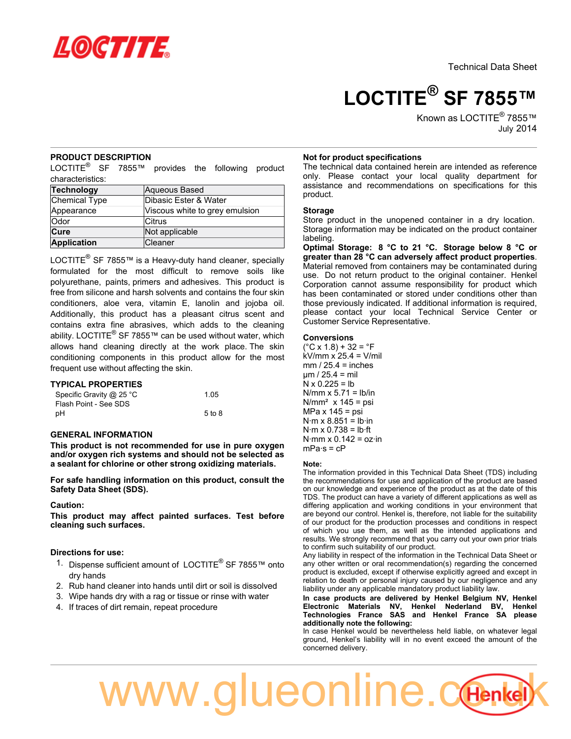

**LOCTITE® SF 7855™**

Known as LOCTITE<sup>®</sup> 7855™ July-2014

# **PRODUCT DESCRIPTION**

LOCTITE<sup>®</sup> SF 7855™ provides the following product characteristics:

| Technology    | Aqueous Based                  |
|---------------|--------------------------------|
| Chemical Type | Dibasic Ester & Water          |
| Appearance    | Viscous white to grey emulsion |
| <b>Odor</b>   | lCitrus                        |
| Cure          | Not applicable                 |
| Application   | Cleaner                        |

LOCTITE<sup>®</sup> SF 7855™ is a Heavy-duty hand cleaner, specially formulated for the most difficult to remove soils like polyurethane, paints, primers and adhesives. This product is free from silicone and harsh solvents and contains the four skin conditioners, aloe vera, vitamin E, lanolin and jojoba oil. Additionally, this product has a pleasant citrus scent and contains extra fine abrasives, which adds to the cleaning ability. LOCTITE<sup>®</sup> SF 7855™ can be used without water, which allows hand cleaning directly at the work place. The skin conditioning components in this product allow for the most frequent use without affecting the skin.

## **TYPICAL PROPERTIES**

| Specific Gravity @ 25 °C | 1.05              |
|--------------------------|-------------------|
| Flash Point - See SDS    |                   |
| рH                       | $5 \text{ to } 8$ |

## **GENERAL INFORMATION**

**This product is not recommended for use in pure oxygen and/or oxygen rich systems and should not be selected as a sealant for chlorine or other strong oxidizing materials.**

**For safe handling information on this product, consult the Safety Data Sheet (SDS).**

## **Caution:**

**This product may affect painted surfaces. Test before cleaning such surfaces.**

## **Directions for use:**

- 1. Dispense sufficient amount of LOCTITE® SF 7855™ onto dry hands
- 2. Rub hand cleaner into hands until dirt or soil is dissolved
- 3. Wipe hands dry with a rag or tissue or rinse with water
- 4. If traces of dirt remain, repeat procedure

## **Not for product specifications**

The technical data contained herein are intended as reference only. Please contact your local quality department for assistance and recommendations on specifications for this product.

### **Storage**

Store product in the unopened container in a dry location. Storage information may be indicated on the product container labeling.

**Optimal Storage: 8 °C to 21 °C. Storage below 8 °C or greater than 28 °C can adversely affect product properties**. Material removed from containers may be contaminated during use. Do not return product to the original container. Henkel Corporation cannot assume responsibility for product which has been contaminated or stored under conditions other than those previously indicated. If additional information is required, please contact your local Technical Service Center or Customer Service Representative.

### **Conversions**

 $(^{\circ}C$  x 1.8) + 32 =  $^{\circ}F$ kV/mm x 25.4 = V/mil  $mm / 25.4 = inches$  $um / 25.4 = mil$  $N \times 0.225 = lb$  $N/mm \times 5.71 = lb/in$  $N/mm<sup>2</sup>$  x 145 = psi MPa  $x$  145 = psi  $N·m \times 8.851 = lb·in$  $N·m \times 0.738 = lb·ft$  $N·mm \times 0.142 = oz·in$  $mPa·s = cP$ 

### **Note:**

The information provided in this Technical Data Sheet (TDS) including the recommendations for use and application of the product are based on our knowledge and experience of the product as at the date of this TDS. The product can have a variety of different applications as well as differing application and working conditions in your environment that are beyond our control. Henkel is, therefore, not liable for the suitability of our product for the production processes and conditions in respect of which you use them, as well as the intended applications and results. We strongly recommend that you carry out your own prior trials to confirm such suitability of our product.

Any liability in respect of the information in the Technical Data Sheet or any other written or oral recommendation(s) regarding the concerned product is excluded, except if otherwise explicitly agreed and except in relation to death or personal injury caused by our negligence and any liability under any applicable mandatory product liability law.

**In case products are delivered by Henkel Belgium NV, Henkel Electronic Materials NV, Henkel Nederland BV, Henkel Technologies France SAS and Henkel France SA please additionally note the following:** 

In case Henkel would be nevertheless held liable, on whatever legal ground, Henkel's liability will in no event exceed the amount of the concerned delivery.

# www.glueonline.com